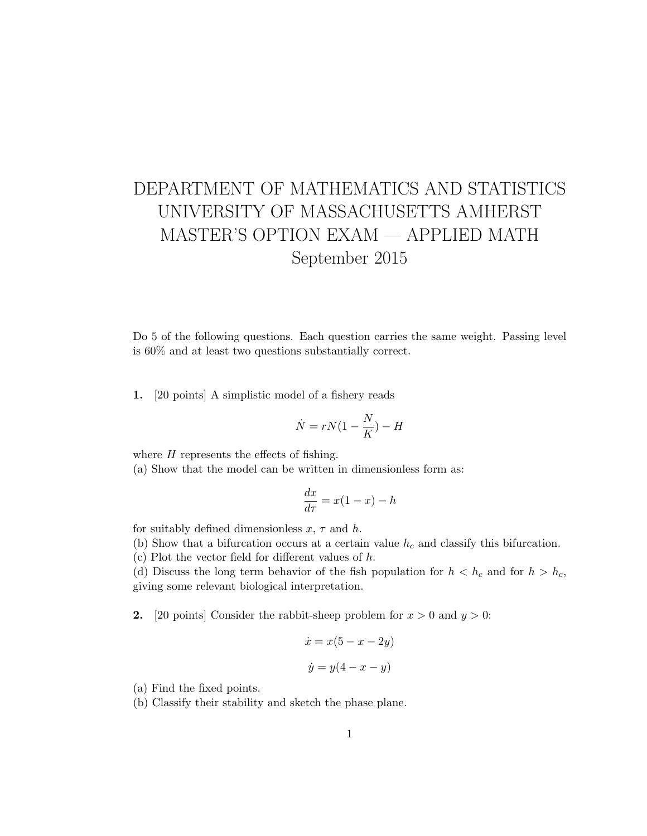## DEPARTMENT OF MATHEMATICS AND STATISTICS UNIVERSITY OF MASSACHUSETTS AMHERST MASTER'S OPTION EXAM — APPLIED MATH September 2015

Do 5 of the following questions. Each question carries the same weight. Passing level is 60% and at least two questions substantially correct.

1. [20 points] A simplistic model of a fishery reads

$$
\dot{N}=rN(1-\frac{N}{K})-H
$$

where  $H$  represents the effects of fishing.

(a) Show that the model can be written in dimensionless form as:

$$
\frac{dx}{d\tau} = x(1-x) - h
$$

for suitably defined dimensionless  $x, \tau$  and h.

(b) Show that a bifurcation occurs at a certain value  $h_c$  and classify this bifurcation.

(c) Plot the vector field for different values of  $h$ .

(d) Discuss the long term behavior of the fish population for  $h < h_c$  and for  $h > h_c$ , giving some relevant biological interpretation.

2. [20 points] Consider the rabbit-sheep problem for  $x > 0$  and  $y > 0$ :

$$
\dot{x} = x(5 - x - 2y)
$$

$$
\dot{y} = y(4 - x - y)
$$

(a) Find the fixed points.

(b) Classify their stability and sketch the phase plane.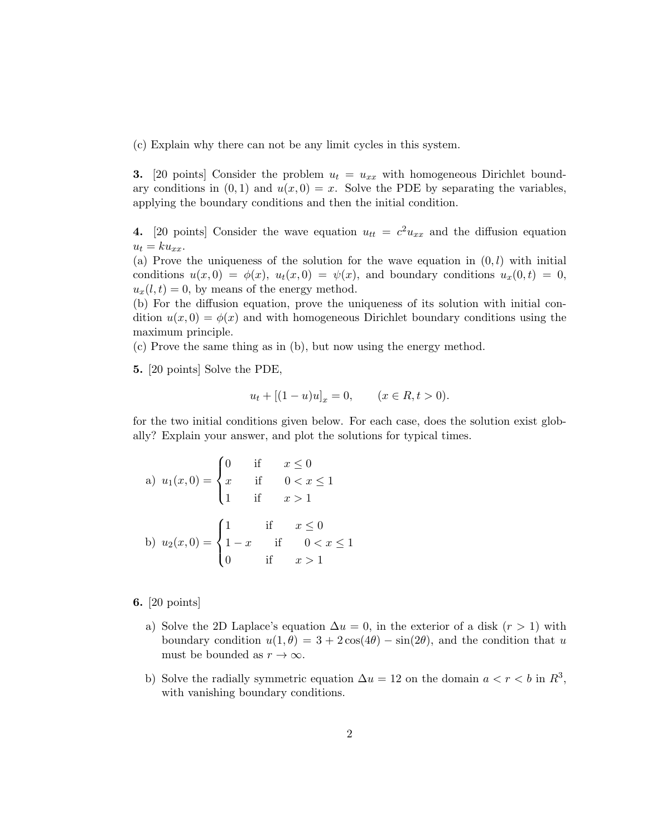(c) Explain why there can not be any limit cycles in this system.

3. [20 points] Consider the problem  $u_t = u_{xx}$  with homogeneous Dirichlet boundary conditions in  $(0, 1)$  and  $u(x, 0) = x$ . Solve the PDE by separating the variables, applying the boundary conditions and then the initial condition.

4. [20 points] Consider the wave equation  $u_{tt} = c^2 u_{xx}$  and the diffusion equation  $u_t = k u_{xx}.$ 

(a) Prove the uniqueness of the solution for the wave equation in  $(0, l)$  with initial conditions  $u(x, 0) = \phi(x)$ ,  $u_t(x, 0) = \psi(x)$ , and boundary conditions  $u_x(0, t) = 0$ ,  $u_x(l, t) = 0$ , by means of the energy method.

(b) For the diffusion equation, prove the uniqueness of its solution with initial condition  $u(x, 0) = \phi(x)$  and with homogeneous Dirichlet boundary conditions using the maximum principle.

(c) Prove the same thing as in (b), but now using the energy method.

5. [20 points] Solve the PDE,

$$
u_t + [(1 - u)u]_x = 0, \qquad (x \in R, t > 0).
$$

for the two initial conditions given below. For each case, does the solution exist globally? Explain your answer, and plot the solutions for typical times.

a) 
$$
u_1(x, 0) = \begin{cases} 0 & \text{if } x \le 0 \\ x & \text{if } 0 < x \le 1 \\ 1 & \text{if } x > 1 \end{cases}
$$
  
b)  $u_2(x, 0) = \begin{cases} 1 & \text{if } x \le 0 \\ 1 - x & \text{if } 0 < x \le 1 \\ 0 & \text{if } x > 1 \end{cases}$ 

6. [20 points]

- a) Solve the 2D Laplace's equation  $\Delta u = 0$ , in the exterior of a disk  $(r > 1)$  with boundary condition  $u(1, \theta) = 3 + 2\cos(4\theta) - \sin(2\theta)$ , and the condition that u must be bounded as  $r \to \infty$ .
- b) Solve the radially symmetric equation  $\Delta u = 12$  on the domain  $a < r < b$  in  $R^3$ , with vanishing boundary conditions.